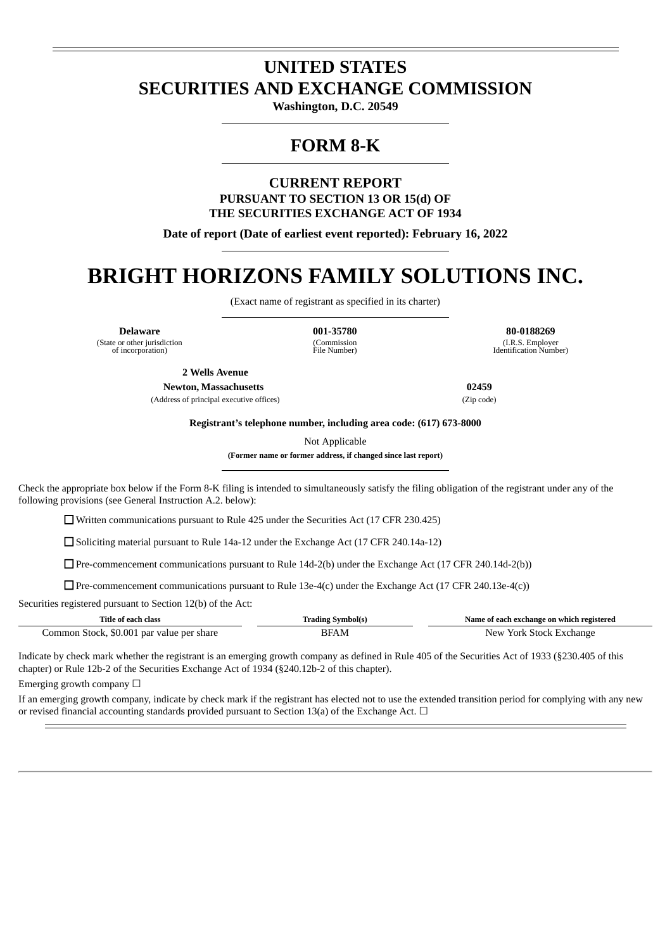# **UNITED STATES SECURITIES AND EXCHANGE COMMISSION**

**Washington, D.C. 20549**

## **FORM 8-K**

**CURRENT REPORT PURSUANT TO SECTION 13 OR 15(d) OF THE SECURITIES EXCHANGE ACT OF 1934**

**Date of report (Date of earliest event reported): February 16, 2022**

# **BRIGHT HORIZONS FAMILY SOLUTIONS INC.**

(Exact name of registrant as specified in its charter)

(State or other jurisdiction of incorporation)

(Commission File Number)

**Delaware 001-35780 80-0188269** (I.R.S. Employer Identification Number)

**2 Wells Avenue**

**Newton, Massachusetts 02459**

(Address of principal executive offices) (Zip code)

**Registrant's telephone number, including area code: (617) 673-8000**

Not Applicable

**(Former name or former address, if changed since last report)**

Check the appropriate box below if the Form 8-K filing is intended to simultaneously satisfy the filing obligation of the registrant under any of the following provisions (see General Instruction A.2. below):

☐ Written communications pursuant to Rule 425 under the Securities Act (17 CFR 230.425)

☐Soliciting material pursuant to Rule 14a-12 under the Exchange Act (17 CFR 240.14a-12)

☐Pre-commencement communications pursuant to Rule 14d-2(b) under the Exchange Act (17 CFR 240.14d-2(b))

☐Pre-commencement communications pursuant to Rule 13e-4(c) under the Exchange Act (17 CFR 240.13e-4(c))

Securities registered pursuant to Section 12(b) of the Act:

| Fitle of each class                            | Symbol(<br>rading | Name of each exchange on which registered |  |  |  |  |  |  |
|------------------------------------------------|-------------------|-------------------------------------------|--|--|--|--|--|--|
| \$0.001 par value per share<br>Stock<br>.ommon |                   | New<br>York<br>∹xchanơe<br><b>Stock</b>   |  |  |  |  |  |  |

Indicate by check mark whether the registrant is an emerging growth company as defined in Rule 405 of the Securities Act of 1933 (§230.405 of this chapter) or Rule 12b-2 of the Securities Exchange Act of 1934 (§240.12b-2 of this chapter).

Emerging growth company  $\Box$ 

If an emerging growth company, indicate by check mark if the registrant has elected not to use the extended transition period for complying with any new or revised financial accounting standards provided pursuant to Section 13(a) of the Exchange Act.  $\Box$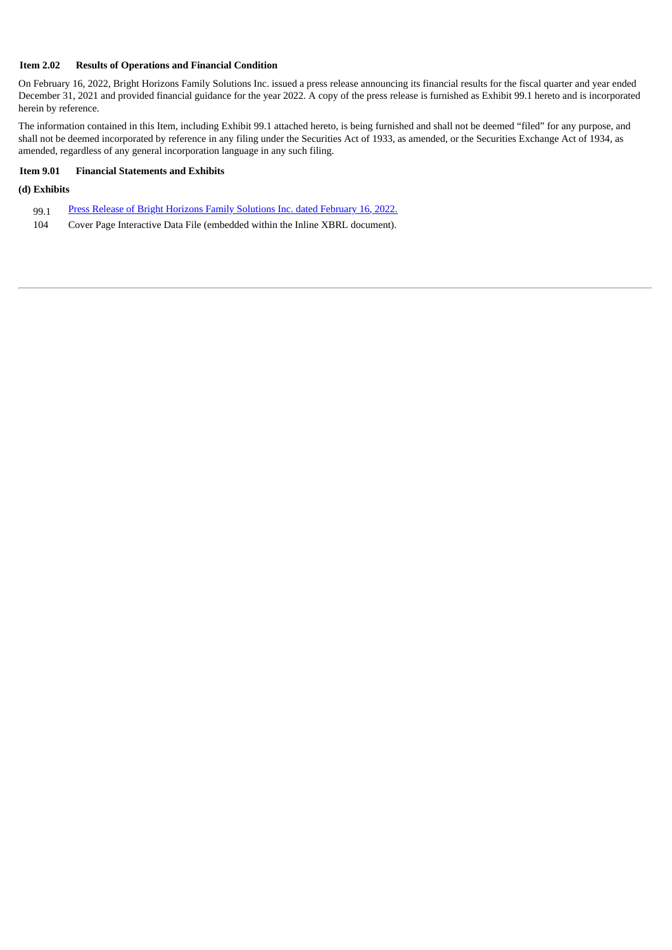#### **Item 2.02 Results of Operations and Financial Condition**

On February 16, 2022, Bright Horizons Family Solutions Inc. issued a press release announcing its financial results for the fiscal quarter and year ended December 31, 2021 and provided financial guidance for the year 2022. A copy of the press release is furnished as Exhibit 99.1 hereto and is incorporated herein by reference.

The information contained in this Item, including Exhibit 99.1 attached hereto, is being furnished and shall not be deemed "filed" for any purpose, and shall not be deemed incorporated by reference in any filing under the Securities Act of 1933, as amended, or the Securities Exchange Act of 1934, as amended, regardless of any general incorporation language in any such filing.

### **Item 9.01 Financial Statements and Exhibits**

### **(d) Exhibits**

- 99.1 Press Release of Bright Horizons Family [Solutions](#page-3-0) Inc. dated February [16,](#page-3-0) [2022.](#page-3-0)
- 104 Cover Page Interactive Data File (embedded within the Inline XBRL document).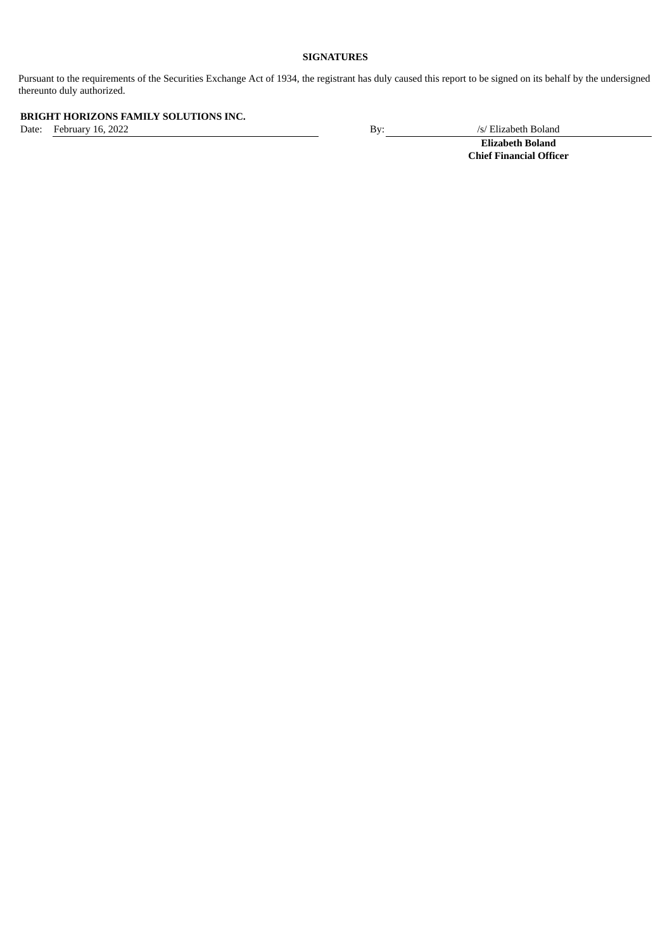### **SIGNATURES**

Pursuant to the requirements of the Securities Exchange Act of 1934, the registrant has duly caused this report to be signed on its behalf by the undersigned thereunto duly authorized.

### **BRIGHT HORIZONS FAMILY SOLUTIONS INC.**

Date: February 16, 2022 <br>By: /s/ Elizabeth Boland

**Elizabeth Boland Chief Financial Officer**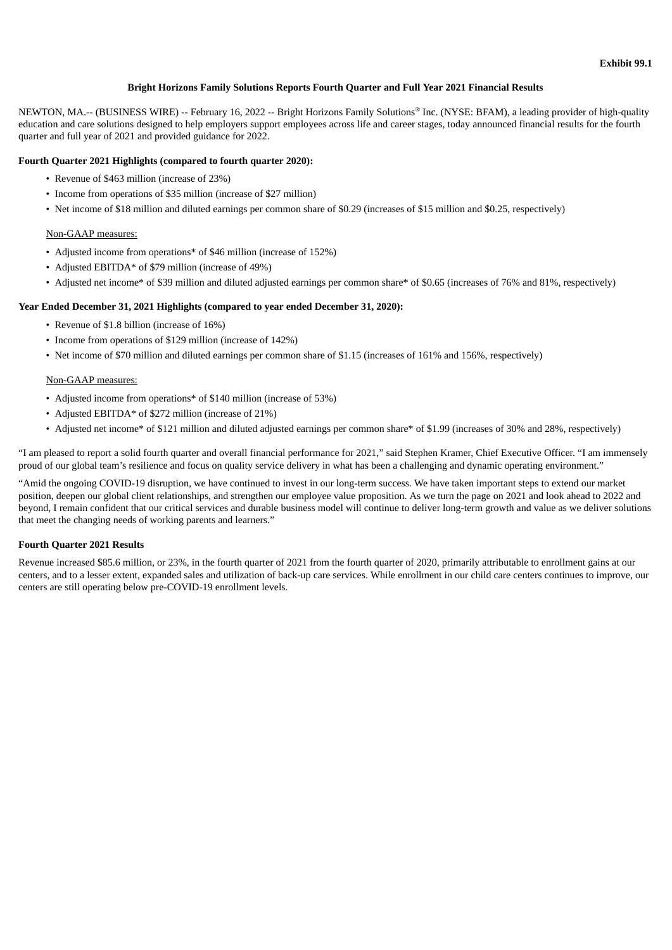#### **Exhibit 99.1**

#### **Bright Horizons Family Solutions Reports Fourth Quarter and Full Year 2021 Financial Results**

<span id="page-3-0"></span>NEWTON, MA.-- (BUSINESS WIRE) -- February 16, 2022 -- Bright Horizons Family Solutions® Inc. (NYSE: BFAM), a leading provider of high-quality education and care solutions designed to help employers support employees across life and career stages, today announced financial results for the fourth quarter and full year of 2021 and provided guidance for 2022.

### **Fourth Quarter 2021 Highlights (compared to fourth quarter 2020):**

- Revenue of \$463 million (increase of 23%)
- Income from operations of \$35 million (increase of \$27 million)
- Net income of \$18 million and diluted earnings per common share of \$0.29 (increases of \$15 million and \$0.25, respectively)

#### Non-GAAP measures:

- Adjusted income from operations\* of \$46 million (increase of 152%)
- Adjusted EBITDA\* of \$79 million (increase of 49%)
- Adjusted net income\* of \$39 million and diluted adjusted earnings per common share\* of \$0.65 (increases of 76% and 81%, respectively)

### **Year Ended December 31, 2021 Highlights (compared to year ended December 31, 2020):**

- Revenue of \$1.8 billion (increase of 16%)
- Income from operations of \$129 million (increase of 142%)
- Net income of \$70 million and diluted earnings per common share of \$1.15 (increases of 161% and 156%, respectively)

#### Non-GAAP measures:

- Adjusted income from operations\* of \$140 million (increase of 53%)
- Adjusted EBITDA\* of \$272 million (increase of 21%)
- Adjusted net income\* of \$121 million and diluted adjusted earnings per common share\* of \$1.99 (increases of 30% and 28%, respectively)

"I am pleased to report a solid fourth quarter and overall financial performance for 2021," said Stephen Kramer, Chief Executive Officer. "I am immensely proud of our global team's resilience and focus on quality service delivery in what has been a challenging and dynamic operating environment."

"Amid the ongoing COVID-19 disruption, we have continued to invest in our long-term success. We have taken important steps to extend our market position, deepen our global client relationships, and strengthen our employee value proposition. As we turn the page on 2021 and look ahead to 2022 and beyond, I remain confident that our critical services and durable business model will continue to deliver long-term growth and value as we deliver solutions that meet the changing needs of working parents and learners."

### **Fourth Quarter 2021 Results**

Revenue increased \$85.6 million, or 23%, in the fourth quarter of 2021 from the fourth quarter of 2020, primarily attributable to enrollment gains at our centers, and to a lesser extent, expanded sales and utilization of back-up care services. While enrollment in our child care centers continues to improve, our centers are still operating below pre-COVID-19 enrollment levels.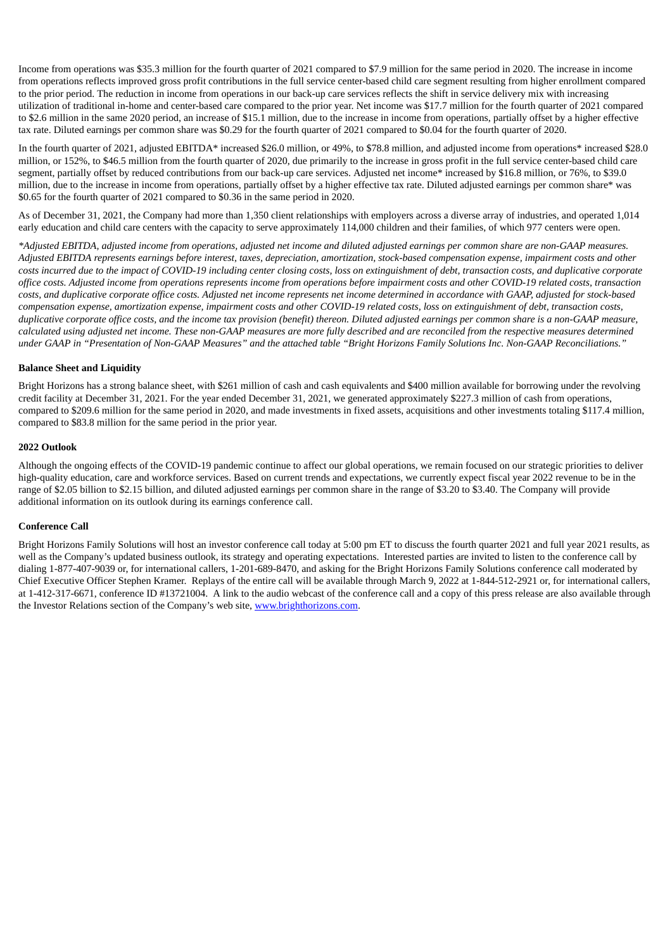Income from operations was \$35.3 million for the fourth quarter of 2021 compared to \$7.9 million for the same period in 2020. The increase in income from operations reflects improved gross profit contributions in the full service center-based child care segment resulting from higher enrollment compared to the prior period. The reduction in income from operations in our back-up care services reflects the shift in service delivery mix with increasing utilization of traditional in-home and center-based care compared to the prior year. Net income was \$17.7 million for the fourth quarter of 2021 compared to \$2.6 million in the same 2020 period, an increase of \$15.1 million, due to the increase in income from operations, partially offset by a higher effective tax rate. Diluted earnings per common share was \$0.29 for the fourth quarter of 2021 compared to \$0.04 for the fourth quarter of 2020.

In the fourth quarter of 2021, adjusted EBITDA\* increased \$26.0 million, or 49%, to \$78.8 million, and adjusted income from operations\* increased \$28.0 million, or 152%, to \$46.5 million from the fourth quarter of 2020, due primarily to the increase in gross profit in the full service center-based child care segment, partially offset by reduced contributions from our back-up care services. Adjusted net income\* increased by \$16.8 million, or 76%, to \$39.0 million, due to the increase in income from operations, partially offset by a higher effective tax rate. Diluted adjusted earnings per common share\* was \$0.65 for the fourth quarter of 2021 compared to \$0.36 in the same period in 2020.

As of December 31, 2021, the Company had more than 1,350 client relationships with employers across a diverse array of industries, and operated 1,014 early education and child care centers with the capacity to serve approximately 114,000 children and their families, of which 977 centers were open.

\*Adjusted EBITDA, adjusted income from operations, adjusted net income and diluted adjusted earnings per common share are non-GAAP measures. Adjusted EBITDA represents earnings before interest, taxes, depreciation, amortization, stock-based compensation expense, impairment costs and other costs incurred due to the impact of COVID-19 including center closing costs, loss on extinguishment of debt, transaction costs, and duplicative corporate office costs. Adjusted income from operations represents income from operations before impairment costs and other COVID-19 related costs, transaction costs, and duplicative corporate office costs. Adjusted net income represents net income determined in accordance with GAAP, adjusted for stock-based compensation expense, amortization expense, impairment costs and other COVID-19 related costs, loss on extinguishment of debt, transaction costs, duplicative corporate office costs, and the income tax provision (benefit) thereon. Diluted adjusted earnings per common share is a non-GAAP measure, calculated using adjusted net income. These non-GAAP measures are more fully described and are reconciled from the respective measures determined under GAAP in "Presentation of Non-GAAP Measures" and the attached table "Bright Horizons Family Solutions Inc. Non-GAAP Reconciliations."

### **Balance Sheet and Liquidity**

Bright Horizons has a strong balance sheet, with \$261 million of cash and cash equivalents and \$400 million available for borrowing under the revolving credit facility at December 31, 2021. For the year ended December 31, 2021, we generated approximately \$227.3 million of cash from operations, compared to \$209.6 million for the same period in 2020, and made investments in fixed assets, acquisitions and other investments totaling \$117.4 million, compared to \$83.8 million for the same period in the prior year.

### **2022 Outlook**

Although the ongoing effects of the COVID-19 pandemic continue to affect our global operations, we remain focused on our strategic priorities to deliver high-quality education, care and workforce services. Based on current trends and expectations, we currently expect fiscal year 2022 revenue to be in the range of \$2.05 billion to \$2.15 billion, and diluted adjusted earnings per common share in the range of \$3.20 to \$3.40. The Company will provide additional information on its outlook during its earnings conference call.

### **Conference Call**

Bright Horizons Family Solutions will host an investor conference call today at 5:00 pm ET to discuss the fourth quarter 2021 and full year 2021 results, as well as the Company's updated business outlook, its strategy and operating expectations. Interested parties are invited to listen to the conference call by dialing 1-877-407-9039 or, for international callers, 1-201-689-8470, and asking for the Bright Horizons Family Solutions conference call moderated by Chief Executive Officer Stephen Kramer. Replays of the entire call will be available through March 9, 2022 at 1-844-512-2921 or, for international callers, at 1-412-317-6671, conference ID #13721004. A link to the audio webcast of the conference call and a copy of this press release are also available through the Investor Relations section of the Company's web site, www.brighthorizons.com.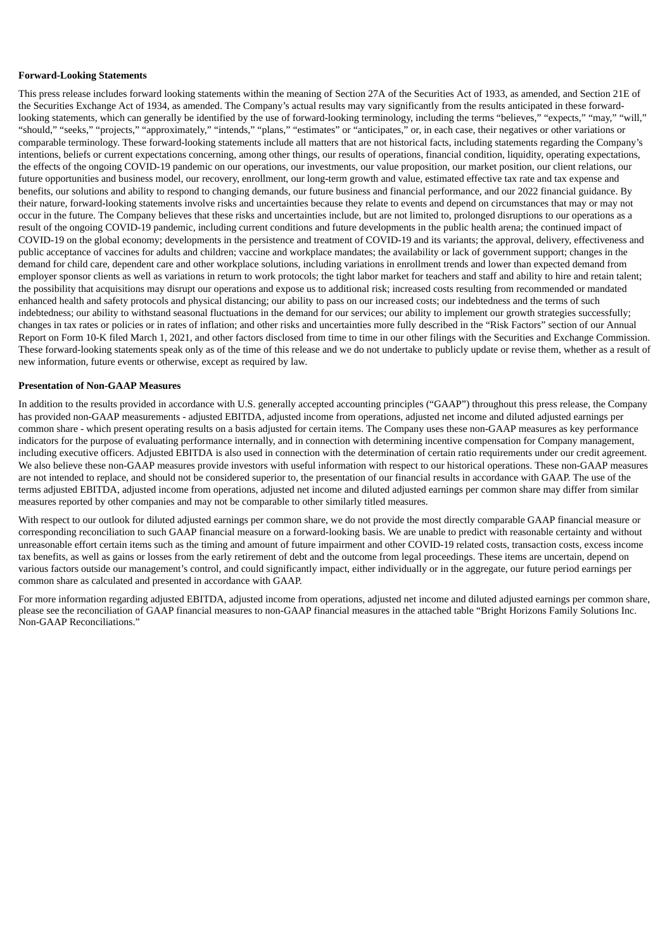#### **Forward-Looking Statements**

This press release includes forward looking statements within the meaning of Section 27A of the Securities Act of 1933, as amended, and Section 21E of the Securities Exchange Act of 1934, as amended. The Company's actual results may vary significantly from the results anticipated in these forwardlooking statements, which can generally be identified by the use of forward-looking terminology, including the terms "believes," "expects," "may," "will," "should," "seeks," "projects," "approximately," "intends," "plans," "estimates" or "anticipates," or, in each case, their negatives or other variations or comparable terminology. These forward-looking statements include all matters that are not historical facts, including statements regarding the Company's intentions, beliefs or current expectations concerning, among other things, our results of operations, financial condition, liquidity, operating expectations, the effects of the ongoing COVID-19 pandemic on our operations, our investments, our value proposition, our market position, our client relations, our future opportunities and business model, our recovery, enrollment, our long-term growth and value, estimated effective tax rate and tax expense and benefits, our solutions and ability to respond to changing demands, our future business and financial performance, and our 2022 financial guidance. By their nature, forward-looking statements involve risks and uncertainties because they relate to events and depend on circumstances that may or may not occur in the future. The Company believes that these risks and uncertainties include, but are not limited to, prolonged disruptions to our operations as a result of the ongoing COVID-19 pandemic, including current conditions and future developments in the public health arena; the continued impact of COVID-19 on the global economy; developments in the persistence and treatment of COVID-19 and its variants; the approval, delivery, effectiveness and public acceptance of vaccines for adults and children; vaccine and workplace mandates; the availability or lack of government support; changes in the demand for child care, dependent care and other workplace solutions, including variations in enrollment trends and lower than expected demand from employer sponsor clients as well as variations in return to work protocols; the tight labor market for teachers and staff and ability to hire and retain talent; the possibility that acquisitions may disrupt our operations and expose us to additional risk; increased costs resulting from recommended or mandated enhanced health and safety protocols and physical distancing; our ability to pass on our increased costs; our indebtedness and the terms of such indebtedness; our ability to withstand seasonal fluctuations in the demand for our services; our ability to implement our growth strategies successfully; changes in tax rates or policies or in rates of inflation; and other risks and uncertainties more fully described in the "Risk Factors" section of our Annual Report on Form 10-K filed March 1, 2021, and other factors disclosed from time to time in our other filings with the Securities and Exchange Commission. These forward-looking statements speak only as of the time of this release and we do not undertake to publicly update or revise them, whether as a result of new information, future events or otherwise, except as required by law.

#### **Presentation of Non-GAAP Measures**

In addition to the results provided in accordance with U.S. generally accepted accounting principles ("GAAP") throughout this press release, the Company has provided non-GAAP measurements - adjusted EBITDA, adjusted income from operations, adjusted net income and diluted adjusted earnings per common share - which present operating results on a basis adjusted for certain items. The Company uses these non-GAAP measures as key performance indicators for the purpose of evaluating performance internally, and in connection with determining incentive compensation for Company management, including executive officers. Adjusted EBITDA is also used in connection with the determination of certain ratio requirements under our credit agreement. We also believe these non-GAAP measures provide investors with useful information with respect to our historical operations. These non-GAAP measures are not intended to replace, and should not be considered superior to, the presentation of our financial results in accordance with GAAP. The use of the terms adjusted EBITDA, adjusted income from operations, adjusted net income and diluted adjusted earnings per common share may differ from similar measures reported by other companies and may not be comparable to other similarly titled measures.

With respect to our outlook for diluted adjusted earnings per common share, we do not provide the most directly comparable GAAP financial measure or corresponding reconciliation to such GAAP financial measure on a forward-looking basis. We are unable to predict with reasonable certainty and without unreasonable effort certain items such as the timing and amount of future impairment and other COVID-19 related costs, transaction costs, excess income tax benefits, as well as gains or losses from the early retirement of debt and the outcome from legal proceedings. These items are uncertain, depend on various factors outside our management's control, and could significantly impact, either individually or in the aggregate, our future period earnings per common share as calculated and presented in accordance with GAAP.

For more information regarding adjusted EBITDA, adjusted income from operations, adjusted net income and diluted adjusted earnings per common share, please see the reconciliation of GAAP financial measures to non-GAAP financial measures in the attached table "Bright Horizons Family Solutions Inc. Non-GAAP Reconciliations."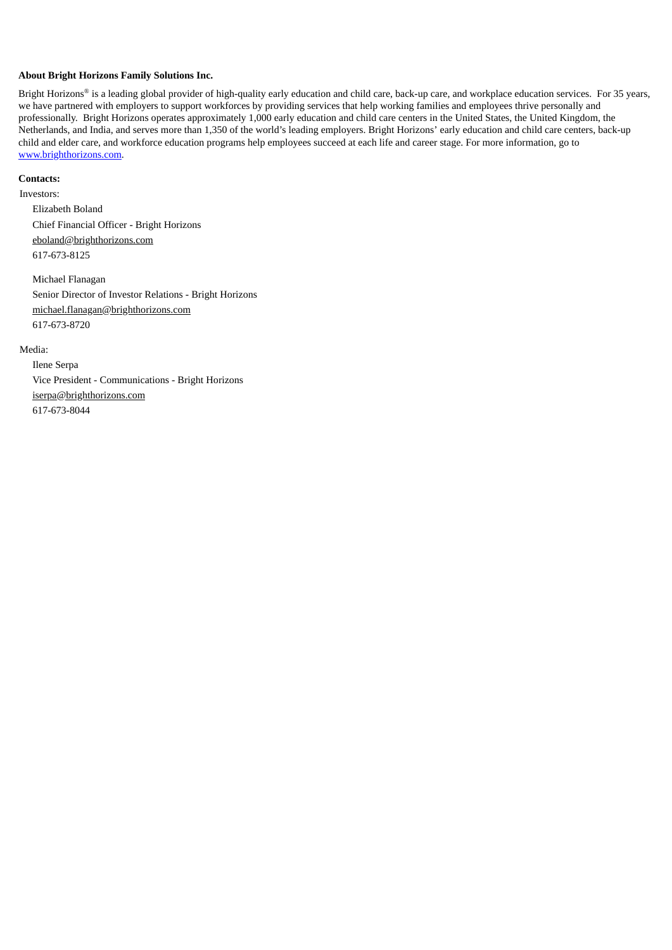#### **About Bright Horizons Family Solutions Inc.**

Bright Horizons® is a leading global provider of high-quality early education and child care, back-up care, and workplace education services. For 35 years, we have partnered with employers to support workforces by providing services that help working families and employees thrive personally and professionally. Bright Horizons operates approximately 1,000 early education and child care centers in the United States, the United Kingdom, the Netherlands, and India, and serves more than 1,350 of the world's leading employers. Bright Horizons' early education and child care centers, back-up child and elder care, and workforce education programs help employees succeed at each life and career stage. For more information, go to www.brighthorizons.com.

### **Contacts:**

Investors: Elizabeth Boland Chief Financial Officer - Bright Horizons eboland@brighthorizons.com 617-673-8125

Michael Flanagan Senior Director of Investor Relations - Bright Horizons michael.flanagan@brighthorizons.com 617-673-8720

#### Media:

Ilene Serpa Vice President - Communications - Bright Horizons iserpa@brighthorizons.com 617-673-8044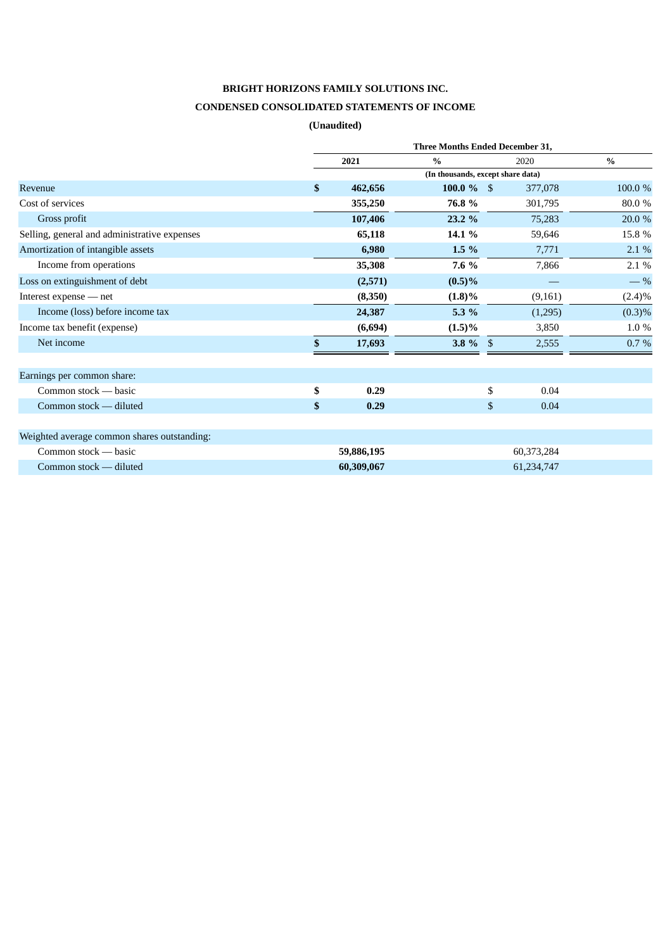### **CONDENSED CONSOLIDATED STATEMENTS OF INCOME**

|                                              | Three Months Ended December 31, |         |                                   |                |            |           |  |  |
|----------------------------------------------|---------------------------------|---------|-----------------------------------|----------------|------------|-----------|--|--|
|                                              | 2021                            |         | $\%$                              |                | 2020       | $\%$      |  |  |
|                                              |                                 |         | (In thousands, except share data) |                |            |           |  |  |
| Revenue                                      | \$                              | 462,656 | $100.0 \%$ \$                     |                | 377,078    | 100.0 %   |  |  |
| Cost of services                             |                                 | 355,250 | 76.8 %                            |                | 301,795    | 80.0%     |  |  |
| Gross profit                                 |                                 | 107,406 | 23.2 %                            |                | 75,283     | 20.0 %    |  |  |
| Selling, general and administrative expenses |                                 | 65,118  | 14.1 %                            |                | 59,646     | 15.8 %    |  |  |
| Amortization of intangible assets            |                                 | 6,980   | 1.5%                              |                | 7,771      | 2.1 %     |  |  |
| Income from operations                       |                                 | 35,308  | 7.6 %                             |                | 7,866      | 2.1 %     |  |  |
| Loss on extinguishment of debt               |                                 | (2,571) | $(0.5)\%$                         |                |            | $-$ %     |  |  |
| Interest expense - net                       |                                 | (8,350) | $(1.8)\%$                         |                | (9, 161)   | $(2.4)\%$ |  |  |
| Income (loss) before income tax              |                                 | 24,387  | 5.3 %                             |                | (1,295)    | (0.3)%    |  |  |
| Income tax benefit (expense)                 |                                 | (6,694) | $(1.5)\%$                         |                | 3,850      | 1.0 %     |  |  |
| Net income                                   | \$                              | 17,693  | 3.8 %                             | $\mathfrak{s}$ | 2,555      | 0.7%      |  |  |
| Earnings per common share:                   |                                 |         |                                   |                |            |           |  |  |
| Common stock — basic                         | \$                              | 0.29    |                                   | \$             | 0.04       |           |  |  |
| Common stock — diluted                       | \$                              | 0.29    |                                   | \$             | 0.04       |           |  |  |
| Weighted average common shares outstanding:  |                                 |         |                                   |                |            |           |  |  |
| Common stock — basic                         | 59,886,195                      |         |                                   |                | 60,373,284 |           |  |  |
| Common stock — diluted                       | 60,309,067                      |         |                                   |                | 61,234,747 |           |  |  |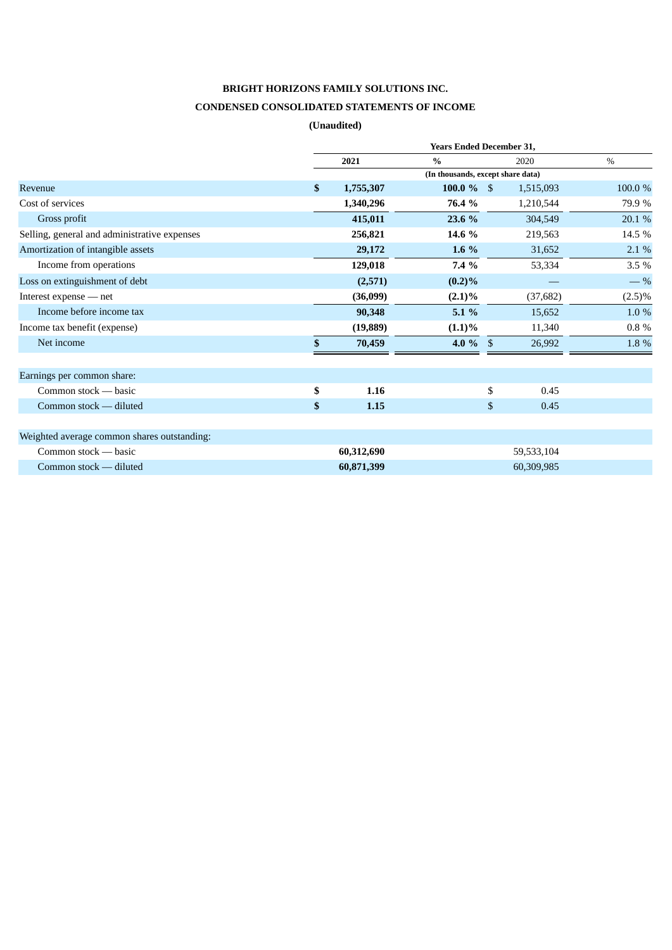### **CONDENSED CONSOLIDATED STATEMENTS OF INCOME**

|                                              | <b>Years Ended December 31.</b> |            |                                   |                |            |           |  |  |
|----------------------------------------------|---------------------------------|------------|-----------------------------------|----------------|------------|-----------|--|--|
|                                              |                                 | 2021       | $\frac{0}{0}$                     |                | 2020       | $\%$      |  |  |
|                                              |                                 |            | (In thousands, except share data) |                |            |           |  |  |
| Revenue                                      | \$                              | 1,755,307  | $100.0 \%$ \$                     |                | 1,515,093  | 100.0 %   |  |  |
| Cost of services                             |                                 | 1,340,296  | 76.4 %                            |                | 1,210,544  | 79.9 %    |  |  |
| Gross profit                                 |                                 | 415,011    | 23.6 %                            |                | 304,549    | 20.1 %    |  |  |
| Selling, general and administrative expenses |                                 | 256,821    | 14.6 %                            |                | 219,563    | 14.5 %    |  |  |
| Amortization of intangible assets            |                                 | 29,172     | 1.6 %                             |                | 31,652     | 2.1 %     |  |  |
| Income from operations                       |                                 | 129,018    | 7.4 %                             |                | 53,334     | 3.5%      |  |  |
| Loss on extinguishment of debt               |                                 | (2,571)    | $(0.2)\%$                         |                |            | $-$ %     |  |  |
| Interest expense - net                       |                                 | (36,099)   | $(2.1)\%$                         |                | (37, 682)  | $(2.5)\%$ |  |  |
| Income before income tax                     |                                 | 90,348     | 5.1 %                             |                | 15,652     | 1.0%      |  |  |
| Income tax benefit (expense)                 |                                 | (19, 889)  | $(1.1)\%$                         |                | 11,340     | $0.8 \%$  |  |  |
| Net income                                   | \$                              | 70,459     | 4.0 %                             | $\mathfrak{s}$ | 26,992     | 1.8 %     |  |  |
| Earnings per common share:                   |                                 |            |                                   |                |            |           |  |  |
| Common stock — basic                         | \$                              | 1.16       |                                   | \$             | 0.45       |           |  |  |
| Common stock — diluted                       | \$                              | 1.15       |                                   | \$             | 0.45       |           |  |  |
| Weighted average common shares outstanding:  |                                 |            |                                   |                |            |           |  |  |
| Common stock — basic                         |                                 | 60,312,690 |                                   |                | 59,533,104 |           |  |  |
| Common stock — diluted                       |                                 | 60,871,399 |                                   |                | 60,309,985 |           |  |  |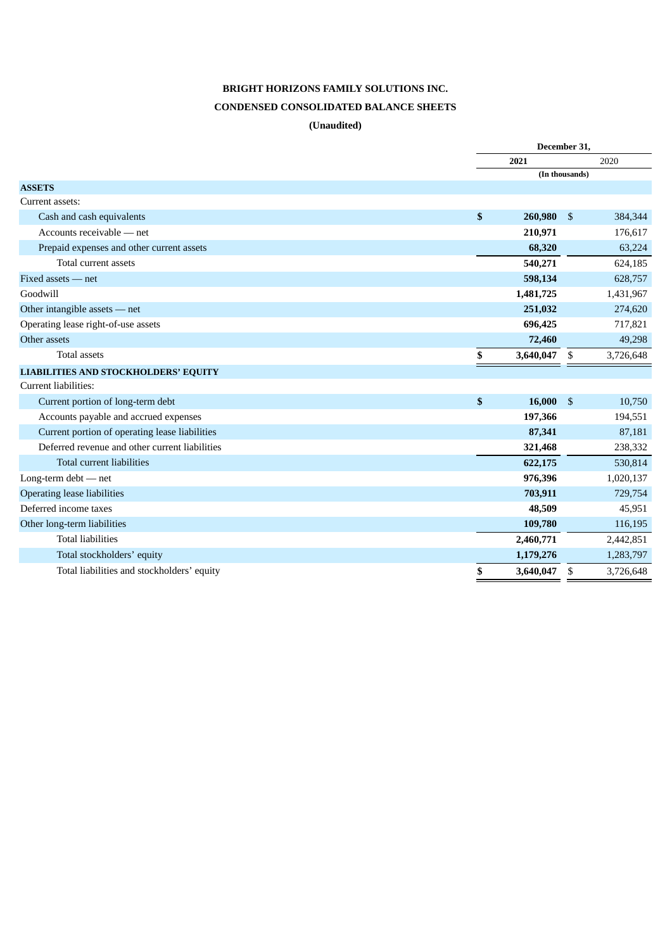### **CONDENSED CONSOLIDATED BALANCE SHEETS**

|                                                |              | December 31, |                |           |
|------------------------------------------------|--------------|--------------|----------------|-----------|
|                                                |              | 2021         |                | 2020      |
|                                                |              |              | (In thousands) |           |
| <b>ASSETS</b>                                  |              |              |                |           |
| Current assets:                                |              |              |                |           |
| Cash and cash equivalents                      | $\mathbf{s}$ | 260,980      | \$             | 384,344   |
| Accounts receivable — net                      |              | 210,971      |                | 176,617   |
| Prepaid expenses and other current assets      |              | 68,320       |                | 63,224    |
| Total current assets                           |              | 540,271      |                | 624,185   |
| Fixed assets - net                             |              | 598,134      |                | 628,757   |
| Goodwill                                       |              | 1,481,725    |                | 1,431,967 |
| Other intangible assets - net                  |              | 251,032      |                | 274,620   |
| Operating lease right-of-use assets            |              | 696,425      |                | 717,821   |
| Other assets                                   |              | 72,460       |                | 49,298    |
| <b>Total assets</b>                            | \$           | 3,640,047    | \$             | 3,726,648 |
| LIABILITIES AND STOCKHOLDERS' EQUITY           |              |              |                |           |
| Current liabilities:                           |              |              |                |           |
| Current portion of long-term debt              | \$           | 16,000       | \$             | 10,750    |
| Accounts payable and accrued expenses          |              | 197,366      |                | 194,551   |
| Current portion of operating lease liabilities |              | 87,341       |                | 87,181    |
| Deferred revenue and other current liabilities |              | 321,468      |                | 238,332   |
| Total current liabilities                      |              | 622,175      |                | 530,814   |
| Long-term debt - net                           |              | 976,396      |                | 1,020,137 |
| <b>Operating lease liabilities</b>             |              | 703,911      |                | 729,754   |
| Deferred income taxes                          |              | 48,509       |                | 45,951    |
| Other long-term liabilities                    |              | 109,780      |                | 116,195   |
| <b>Total liabilities</b>                       |              | 2,460,771    |                | 2,442,851 |
| Total stockholders' equity                     |              | 1,179,276    |                | 1,283,797 |
| Total liabilities and stockholders' equity     | \$           | 3,640,047    | \$             | 3,726,648 |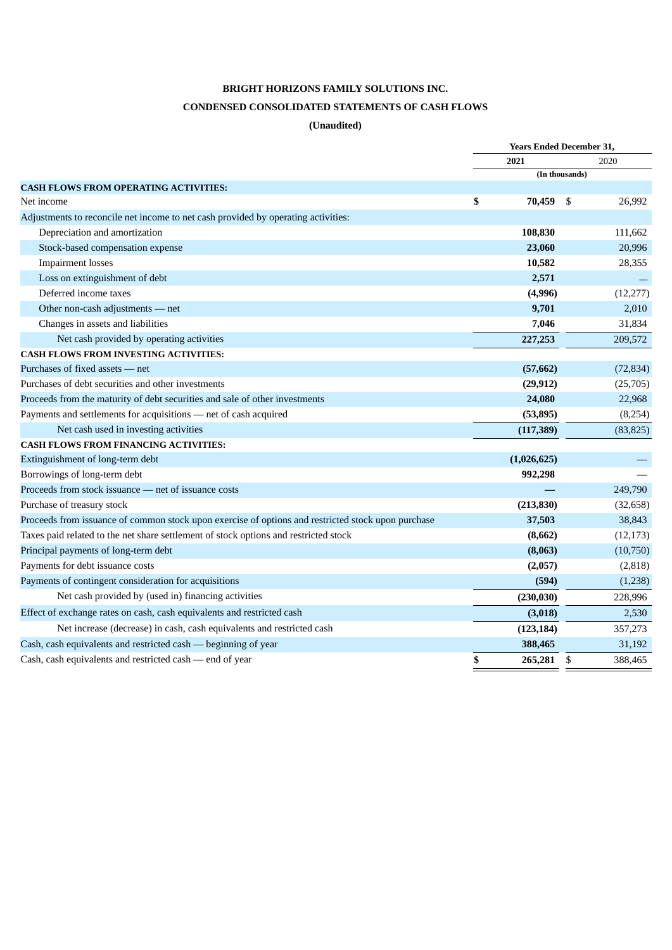### **CONDENSED CONSOLIDATED STATEMENTS OF CASH FLOWS**

|                                                                                                    | <b>Years Ended December 31,</b> |                |      |           |
|----------------------------------------------------------------------------------------------------|---------------------------------|----------------|------|-----------|
|                                                                                                    |                                 | 2021           |      | 2020      |
|                                                                                                    |                                 | (In thousands) |      |           |
| <b>CASH FLOWS FROM OPERATING ACTIVITIES:</b>                                                       |                                 |                |      |           |
| Net income                                                                                         | \$                              | 70,459         | - \$ | 26,992    |
| Adjustments to reconcile net income to net cash provided by operating activities:                  |                                 |                |      |           |
| Depreciation and amortization                                                                      |                                 | 108,830        |      | 111,662   |
| Stock-based compensation expense                                                                   |                                 | 23,060         |      | 20,996    |
| <b>Impairment losses</b>                                                                           |                                 | 10,582         |      | 28,355    |
| Loss on extinguishment of debt                                                                     |                                 | 2,571          |      |           |
| Deferred income taxes                                                                              |                                 | (4,996)        |      | (12, 277) |
| Other non-cash adjustments - net                                                                   |                                 | 9,701          |      | 2,010     |
| Changes in assets and liabilities                                                                  |                                 | 7,046          |      | 31,834    |
| Net cash provided by operating activities                                                          |                                 | 227,253        |      | 209,572   |
| <b>CASH FLOWS FROM INVESTING ACTIVITIES:</b>                                                       |                                 |                |      |           |
| Purchases of fixed assets - net                                                                    |                                 | (57, 662)      |      | (72, 834) |
| Purchases of debt securities and other investments                                                 |                                 | (29, 912)      |      | (25,705)  |
| Proceeds from the maturity of debt securities and sale of other investments                        |                                 | 24,080         |      | 22,968    |
| Payments and settlements for acquisitions - net of cash acquired                                   |                                 | (53, 895)      |      | (8,254)   |
| Net cash used in investing activities                                                              |                                 | (117, 389)     |      | (83, 825) |
| <b>CASH FLOWS FROM FINANCING ACTIVITIES:</b>                                                       |                                 |                |      |           |
| Extinguishment of long-term debt                                                                   |                                 | (1,026,625)    |      |           |
| Borrowings of long-term debt                                                                       |                                 | 992,298        |      |           |
| Proceeds from stock issuance - net of issuance costs                                               |                                 |                |      | 249,790   |
| Purchase of treasury stock                                                                         |                                 | (213, 830)     |      | (32, 658) |
| Proceeds from issuance of common stock upon exercise of options and restricted stock upon purchase |                                 | 37,503         |      | 38,843    |
| Taxes paid related to the net share settlement of stock options and restricted stock               |                                 | (8,662)        |      | (12, 173) |
| Principal payments of long-term debt                                                               |                                 | (8,063)        |      | (10,750)  |
| Payments for debt issuance costs                                                                   |                                 | (2,057)        |      | (2,818)   |
| Payments of contingent consideration for acquisitions                                              |                                 | (594)          |      | (1,238)   |
| Net cash provided by (used in) financing activities                                                |                                 | (230, 030)     |      | 228,996   |
| Effect of exchange rates on cash, cash equivalents and restricted cash                             |                                 | (3,018)        |      | 2,530     |
| Net increase (decrease) in cash, cash equivalents and restricted cash                              |                                 | (123, 184)     |      | 357,273   |
| Cash, cash equivalents and restricted cash — beginning of year                                     |                                 | 388,465        |      | 31,192    |
| Cash, cash equivalents and restricted cash - end of year                                           | \$                              | 265,281        | \$   | 388,465   |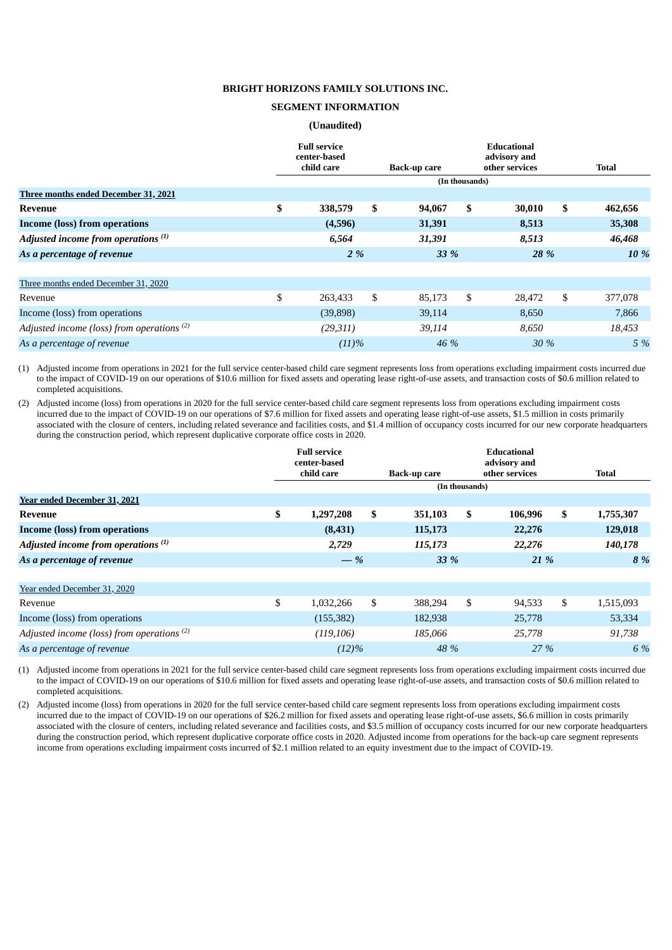### **SEGMENT INFORMATION**

#### **(Unaudited)**

|                                              | <b>Full service</b><br>center-based<br>child care | Back-up care   | <b>Educational</b><br>advisory and<br>other services | Total         |
|----------------------------------------------|---------------------------------------------------|----------------|------------------------------------------------------|---------------|
|                                              |                                                   | (In thousands) |                                                      |               |
| Three months ended December 31, 2021         |                                                   |                |                                                      |               |
| Revenue                                      | \$<br>338,579                                     | \$<br>94,067   | \$<br>30,010                                         | \$<br>462,656 |
| Income (loss) from operations                | (4,596)                                           | 31,391         | 8,513                                                | 35,308        |
| Adjusted income from operations (1)          | 6,564                                             | 31,391         | 8,513                                                | 46,468        |
| As a percentage of revenue                   | 2 %                                               | 33 %           | 28 %                                                 | 10 %          |
|                                              |                                                   |                |                                                      |               |
| Three months ended December 31, 2020         |                                                   |                |                                                      |               |
| Revenue                                      | \$<br>263,433                                     | \$<br>85,173   | \$<br>28,472                                         | \$<br>377,078 |
| Income (loss) from operations                | (39, 898)                                         | 39,114         | 8,650                                                | 7,866         |
| Adjusted income (loss) from operations $(2)$ | (29,311)                                          | 39,114         | 8,650                                                | 18,453        |
| As a percentage of revenue                   | (11)%                                             | 46 %           | 30 %                                                 | 5 %           |

(1) Adjusted income from operations in 2021 for the full service center-based child care segment represents loss from operations excluding impairment costs incurred due to the impact of COVID-19 on our operations of \$10.6 million for fixed assets and operating lease right-of-use assets, and transaction costs of \$0.6 million related to completed acquisitions.

(2) Adjusted income (loss) from operations in 2020 for the full service center-based child care segment represents loss from operations excluding impairment costs incurred due to the impact of COVID-19 on our operations of \$7.6 million for fixed assets and operating lease right-of-use assets, \$1.5 million in costs primarily associated with the closure of centers, including related severance and facilities costs, and \$1.4 million of occupancy costs incurred for our new corporate headquarters during the construction period, which represent duplicative corporate office costs in 2020.

|                                              |    | <b>Full service</b><br>center-based<br>child care |    | Back-up care | <b>Educational</b><br>advisory and<br>other services |             |    | Total     |
|----------------------------------------------|----|---------------------------------------------------|----|--------------|------------------------------------------------------|-------------|----|-----------|
|                                              |    |                                                   |    |              | (In thousands)                                       |             |    |           |
| Year ended December 31, 2021                 |    |                                                   |    |              |                                                      |             |    |           |
| Revenue                                      | \$ | 1,297,208                                         | \$ | 351,103      | \$                                                   | 106,996     | \$ | 1,755,307 |
| Income (loss) from operations                |    | (8,431)                                           |    | 115,173      |                                                      | 22,276      |    | 129,018   |
| Adjusted income from operations (1)          |    | 2,729                                             |    | 115,173      |                                                      | 22,276      |    | 140,178   |
| As a percentage of revenue                   |    | $-$ %                                             |    | <b>33 %</b>  |                                                      | <b>21</b> % |    | 8 %       |
|                                              |    |                                                   |    |              |                                                      |             |    |           |
| Year ended December 31, 2020                 |    |                                                   |    |              |                                                      |             |    |           |
| Revenue                                      | \$ | 1.032.266                                         | \$ | 388,294      | \$                                                   | 94,533      | \$ | 1,515,093 |
| Income (loss) from operations                |    | (155, 382)                                        |    | 182,938      |                                                      | 25,778      |    | 53,334    |
| Adjusted income (loss) from operations $(2)$ |    | (119, 106)                                        |    | 185,066      |                                                      | 25,778      |    | 91,738    |
| As a percentage of revenue                   |    | $(12)\%$                                          |    | 48 %         |                                                      | 27 %        |    | 6 %       |

(1) Adjusted income from operations in 2021 for the full service center-based child care segment represents loss from operations excluding impairment costs incurred due to the impact of COVID-19 on our operations of \$10.6 million for fixed assets and operating lease right-of-use assets, and transaction costs of \$0.6 million related to completed acquisitions.

(2) Adjusted income (loss) from operations in 2020 for the full service center-based child care segment represents loss from operations excluding impairment costs incurred due to the impact of COVID-19 on our operations of \$26.2 million for fixed assets and operating lease right-of-use assets, \$6.6 million in costs primarily associated with the closure of centers, including related severance and facilities costs, and \$3.5 million of occupancy costs incurred for our new corporate headquarters during the construction period, which represent duplicative corporate office costs in 2020. Adjusted income from operations for the back-up care segment represents income from operations excluding impairment costs incurred of \$2.1 million related to an equity investment due to the impact of COVID-19.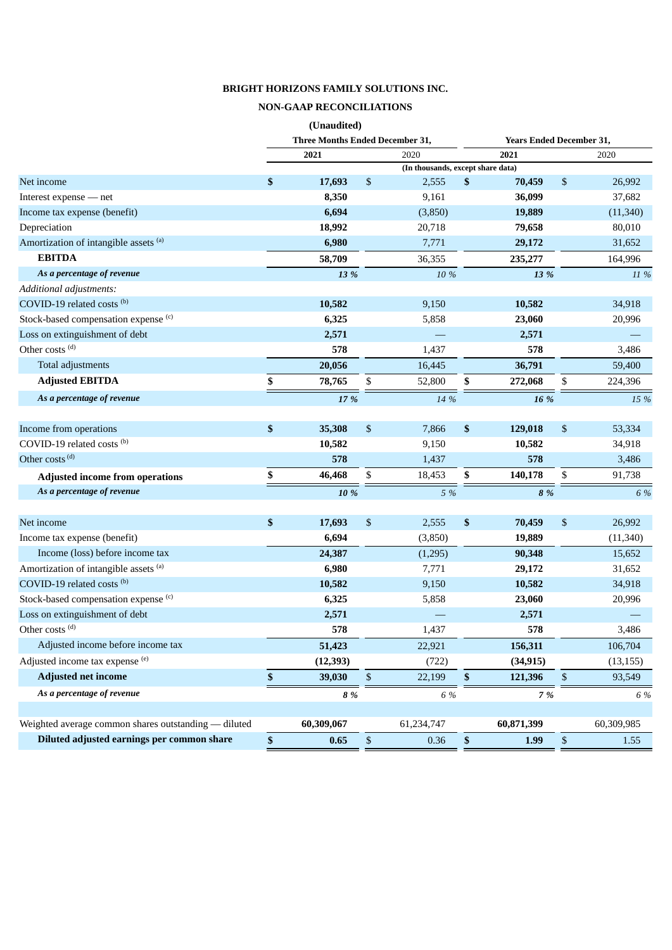### **NON-GAAP RECONCILIATIONS**

|                                                      | (Unaudited)                     |                                   |      |                                 |      |            |
|------------------------------------------------------|---------------------------------|-----------------------------------|------|---------------------------------|------|------------|
|                                                      | Three Months Ended December 31, |                                   |      | <b>Years Ended December 31,</b> |      |            |
|                                                      | 2021                            | 2020                              |      | 2021                            |      | 2020       |
|                                                      |                                 | (In thousands, except share data) |      |                                 |      |            |
| Net income                                           | \$<br>17,693                    | \$<br>2,555                       | \$   | 70,459                          | \$   | 26,992     |
| Interest expense - net                               | 8,350                           | 9,161                             |      | 36,099                          |      | 37,682     |
| Income tax expense (benefit)                         | 6,694                           | (3,850)                           |      | 19,889                          |      | (11, 340)  |
| Depreciation                                         | 18,992                          | 20,718                            |      | 79,658                          |      | 80,010     |
| Amortization of intangible assets (a)                | 6,980                           | 7,771                             |      | 29,172                          |      | 31,652     |
| <b>EBITDA</b>                                        | 58,709                          | 36,355                            |      | 235,277                         |      | 164,996    |
| As a percentage of revenue                           | 13 %                            | 10 %                              |      | 13 %                            |      | 11 %       |
| Additional adjustments:                              |                                 |                                   |      |                                 |      |            |
| COVID-19 related costs <sup>(b)</sup>                | 10,582                          | 9,150                             |      | 10,582                          |      | 34,918     |
| Stock-based compensation expense (c)                 | 6,325                           | 5,858                             |      | 23,060                          |      | 20,996     |
| Loss on extinguishment of debt                       | 2,571                           |                                   |      | 2,571                           |      |            |
| Other costs <sup>(d)</sup>                           | 578                             | 1,437                             |      | 578                             |      | 3,486      |
| Total adjustments                                    | 20,056                          | 16,445                            |      | 36,791                          |      | 59,400     |
| <b>Adjusted EBITDA</b>                               | \$<br>78,765                    | \$<br>52,800                      | \$   | 272,068                         | \$   | 224,396    |
| As a percentage of revenue                           | 17 %                            | 14 %                              |      | 16 %                            |      | 15 %       |
| Income from operations                               | \$<br>35,308                    | \$<br>7,866                       | \$   | 129,018                         | \$   | 53,334     |
| COVID-19 related costs <sup>(b)</sup>                | 10,582                          | 9,150                             |      | 10,582                          |      | 34,918     |
| Other costs <sup>(d)</sup>                           | 578                             | 1,437                             |      | 578                             |      | 3,486      |
| <b>Adjusted income from operations</b>               | \$<br>46,468                    | \$<br>18,453                      | \$   | 140,178                         | \$   | 91,738     |
| As a percentage of revenue                           | 10 %                            | 5 %                               |      | 8 %                             |      | 6 %        |
| Net income                                           | \$<br>17,693                    | \$<br>2,555                       | \$   | 70,459                          | \$   | 26,992     |
| Income tax expense (benefit)                         | 6,694                           | (3,850)                           |      | 19,889                          |      | (11, 340)  |
| Income (loss) before income tax                      | 24,387                          | (1,295)                           |      | 90,348                          |      | 15,652     |
| Amortization of intangible assets (a)                | 6,980                           | 7,771                             |      | 29,172                          |      | 31,652     |
| COVID-19 related costs <sup>(b)</sup>                | 10,582                          | 9,150                             |      | 10,582                          |      | 34,918     |
| Stock-based compensation expense (c)                 | 6,325                           | 5,858                             |      | 23,060                          |      | 20,996     |
| Loss on extinguishment of debt                       | 2,571                           |                                   |      | 2,571                           |      |            |
| Other costs <sup>(d)</sup>                           | 578                             | 1,437                             |      | 578                             |      | 3,486      |
| Adjusted income before income tax                    | 51,423                          | 22,921                            |      | 156,311                         |      | 106,704    |
| Adjusted income tax expense (e)                      | (12, 393)                       | (722)                             |      | (34, 915)                       |      | (13, 155)  |
| <b>Adjusted net income</b>                           | \$<br>39,030                    | \$<br>22,199                      | \$   | 121,396                         | \$   | 93,549     |
| As a percentage of revenue                           | $8\ \%$                         | $6\ \%$                           |      | $7\ \%$                         |      | 6 %        |
| Weighted average common shares outstanding - diluted | 60,309,067                      | 61,234,747                        |      | 60,871,399                      |      | 60,309,985 |
| Diluted adjusted earnings per common share           | \$<br>0.65                      | \$<br>0.36                        | $\$$ | 1.99                            | $\$$ |            |
|                                                      |                                 |                                   |      |                                 |      | 1.55       |